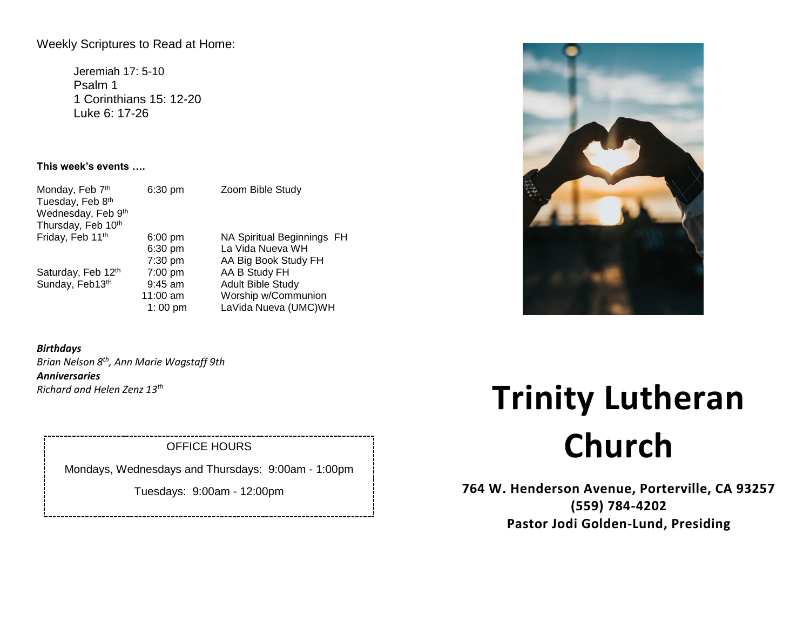# Weekly Scriptures to Read at Home:

Jeremiah 17: 5-10 Psalm 1 1 Corinthians 15: 12-20 Luke 6: 17-26

# **This week's events ….**

| Monday, Feb 7th    | 6:30 pm           | Zoom B   |
|--------------------|-------------------|----------|
| Tuesday, Feb 8th   |                   |          |
| Wednesday, Feb 9th |                   |          |
| Thursday, Feb 10th |                   |          |
| Friday, Feb 11th   | $6:00$ pm         | NA Spir  |
|                    | 6:30 pm           | La Vida  |
|                    | 7:30 pm           | AA Big I |
| Saturday, Feb 12th | $7:00$ pm         | AA B St  |
| Sunday, Feb13th    | $9:45$ am         | Adult Bi |
|                    | 11:00 am          | Worship  |
|                    | $1:00 \text{ pm}$ | LaVida I |

ible Study

ritual Beginnings FH Nueva WH Book Study FH tudy FH ible Study p w/Communion Nueva (UMC)WH

-----------------------

## *Birthdays*

*Brian Nelson 8th, Ann Marie Wagstaff 9th Anniversaries Richard and Helen Zenz 13th*

# OFFICE HOURS

Mondays, Wednesdays and Thursdays: 9:00am - 1:00pm

Tuesdays: 9:00am - 12:00pm

# **Trinity Lutheran Church**

**764 W. Henderson Avenue, Porterville, CA 93257 (559) 784-4202 Pastor Jodi Golden-Lund, Presiding**